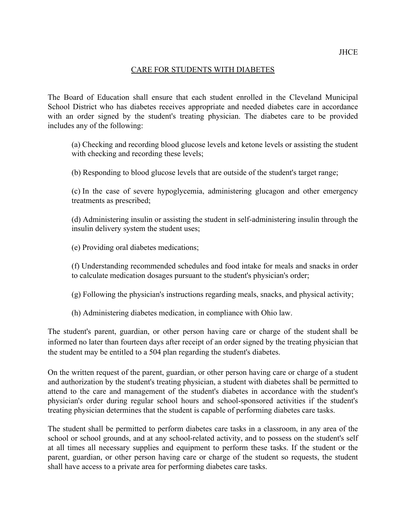## CARE FOR STUDENTS WITH DIABETES

 The Board of Education shall ensure that each student enrolled in the Cleveland Municipal School District who has diabetes receives appropriate and needed diabetes care in accordance with an order signed by the student's treating physician. The diabetes care to be provided includes any of the following:

 (a) Checking and recording blood glucose levels and ketone levels or assisting the student with checking and recording these levels;

(b) Responding to blood glucose levels that are outside of the student's target range;

 (c) In the case of severe hypoglycemia, administering glucagon and other emergency treatments as prescribed;

 (d) Administering insulin or assisting the student in self-administering insulin through the insulin delivery system the student uses;

(e) Providing oral diabetes medications;

 (f) Understanding recommended schedules and food intake for meals and snacks in order to calculate medication dosages pursuant to the student's physician's order;

- (g) Following the physician's instructions regarding meals, snacks, and physical activity;
- (h) Administering diabetes medication, in compliance with Ohio law.

 The student's parent, guardian, or other person having care or charge of the student shall be informed no later than fourteen days after receipt of an order signed by the treating physician that the student may be entitled to a 504 plan regarding the student's diabetes.

 On the written request of the parent, guardian, or other person having care or charge of a student and authorization by the student's treating physician, a student with diabetes shall be permitted to attend to the care and management of the student's diabetes in accordance with the student's physician's order during regular school hours and school-sponsored activities if the student's treating physician determines that the student is capable of performing diabetes care tasks.

 The student shall be permitted to perform diabetes care tasks in a classroom, in any area of the school or school grounds, and at any school-related activity, and to possess on the student's self at all times all necessary supplies and equipment to perform these tasks. If the student or the parent, guardian, or other person having care or charge of the student so requests, the student shall have access to a private area for performing diabetes care tasks.